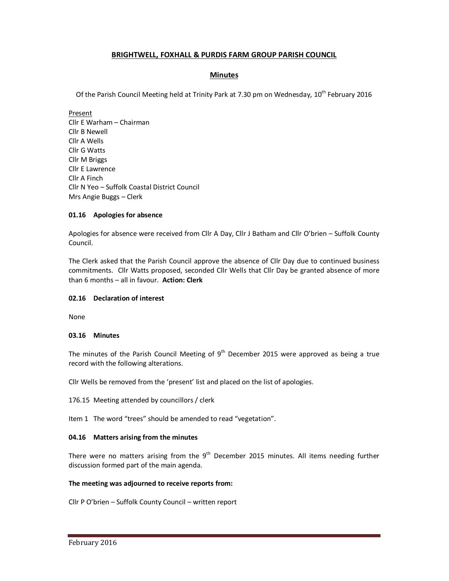# **BRIGHTWELL, FOXHALL & PURDIS FARM GROUP PARISH COUNCIL**

## **Minutes**

Of the Parish Council Meeting held at Trinity Park at 7.30 pm on Wednesday, 10<sup>th</sup> February 2016

Present Cllr E Warham – Chairman Cllr B Newell Cllr A Wells Cllr G Watts Cllr M Briggs Cllr E Lawrence Cllr A Finch Cllr N Yeo – Suffolk Coastal District Council Mrs Angie Buggs – Clerk

## **01.16 Apologies for absence**

Apologies for absence were received from Cllr A Day, Cllr J Batham and Cllr O'brien – Suffolk County Council.

The Clerk asked that the Parish Council approve the absence of Cllr Day due to continued business commitments. Cllr Watts proposed, seconded Cllr Wells that Cllr Day be granted absence of more than 6 months – all in favour. **Action: Clerk**

#### **02.16 Declaration of interest**

None

#### **03.16 Minutes**

The minutes of the Parish Council Meeting of  $9<sup>th</sup>$  December 2015 were approved as being a true record with the following alterations.

Cllr Wells be removed from the 'present' list and placed on the list of apologies.

176.15 Meeting attended by councillors / clerk

Item 1 The word "trees" should be amended to read "vegetation".

#### **04.16 Matters arising from the minutes**

There were no matters arising from the  $9<sup>th</sup>$  December 2015 minutes. All items needing further discussion formed part of the main agenda.

#### **The meeting was adjourned to receive reports from:**

Cllr P O'brien – Suffolk County Council – written report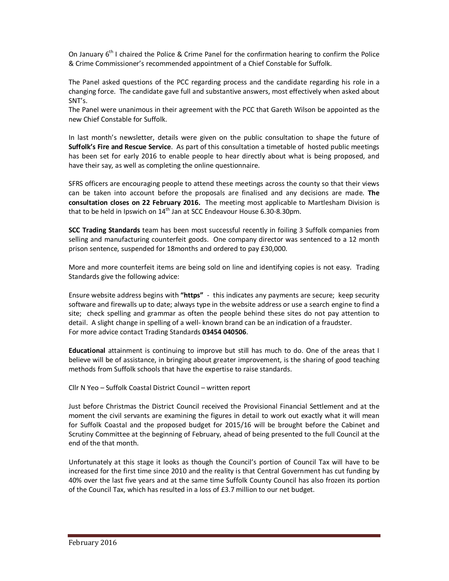On January  $6<sup>th</sup>$  I chaired the Police & Crime Panel for the confirmation hearing to confirm the Police & Crime Commissioner's recommended appointment of a Chief Constable for Suffolk.

The Panel asked questions of the PCC regarding process and the candidate regarding his role in a changing force. The candidate gave full and substantive answers, most effectively when asked about SNT's.

The Panel were unanimous in their agreement with the PCC that Gareth Wilson be appointed as the new Chief Constable for Suffolk.

In last month's newsletter, details were given on the public consultation to shape the future of **Suffolk's Fire and Rescue Service**. As part of this consultation a timetable of hosted public meetings has been set for early 2016 to enable people to hear directly about what is being proposed, and have their say, as well as completing the online questionnaire.

SFRS officers are encouraging people to attend these meetings across the county so that their views can be taken into account before the proposals are finalised and any decisions are made. **The consultation closes on 22 February 2016.** The meeting most applicable to Martlesham Division is that to be held in Ipswich on  $14<sup>th</sup>$  Jan at SCC Endeavour House 6.30-8.30pm.

**SCC Trading Standards** team has been most successful recently in foiling 3 Suffolk companies from selling and manufacturing counterfeit goods. One company director was sentenced to a 12 month prison sentence, suspended for 18months and ordered to pay £30,000.

More and more counterfeit items are being sold on line and identifying copies is not easy. Trading Standards give the following advice:

Ensure website address begins with **"https"** - this indicates any payments are secure; keep security software and firewalls up to date; always type in the website address or use a search engine to find a site; check spelling and grammar as often the people behind these sites do not pay attention to detail. A slight change in spelling of a well- known brand can be an indication of a fraudster. For more advice contact Trading Standards **03454 040506**.

**Educational** attainment is continuing to improve but still has much to do. One of the areas that I believe will be of assistance, in bringing about greater improvement, is the sharing of good teaching methods from Suffolk schools that have the expertise to raise standards.

Cllr N Yeo – Suffolk Coastal District Council – written report

Just before Christmas the District Council received the Provisional Financial Settlement and at the moment the civil servants are examining the figures in detail to work out exactly what it will mean for Suffolk Coastal and the proposed budget for 2015/16 will be brought before the Cabinet and Scrutiny Committee at the beginning of February, ahead of being presented to the full Council at the end of the that month.

Unfortunately at this stage it looks as though the Council's portion of Council Tax will have to be increased for the first time since 2010 and the reality is that Central Government has cut funding by 40% over the last five years and at the same time Suffolk County Council has also frozen its portion of the Council Tax, which has resulted in a loss of £3.7 million to our net budget.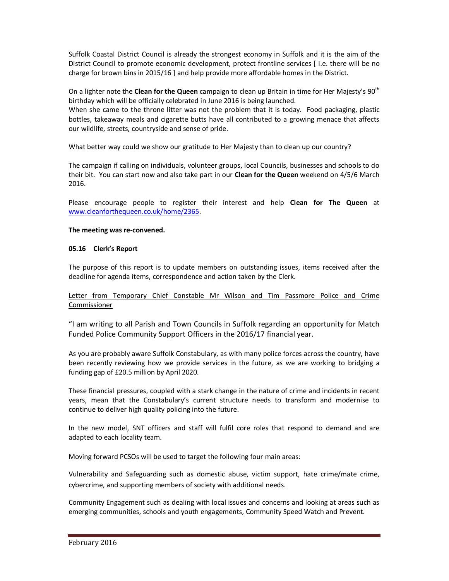Suffolk Coastal District Council is already the strongest economy in Suffolk and it is the aim of the District Council to promote economic development, protect frontline services [ i.e. there will be no charge for brown bins in 2015/16 ] and help provide more affordable homes in the District.

On a lighter note the **Clean for the Queen** campaign to clean up Britain in time for Her Majesty's 90<sup>th</sup> birthday which will be officially celebrated in June 2016 is being launched.

When she came to the throne litter was not the problem that it is today. Food packaging, plastic bottles, takeaway meals and cigarette butts have all contributed to a growing menace that affects our wildlife, streets, countryside and sense of pride.

What better way could we show our gratitude to Her Majesty than to clean up our country?

The campaign if calling on individuals, volunteer groups, local Councils, businesses and schools to do their bit. You can start now and also take part in our **Clean for the Queen** weekend on 4/5/6 March 2016.

Please encourage people to register their interest and help **Clean for The Queen** at www.cleanforthequeen.co.uk/home/2365.

### **The meeting was re-convened.**

### **05.16 Clerk's Report**

The purpose of this report is to update members on outstanding issues, items received after the deadline for agenda items, correspondence and action taken by the Clerk.

Letter from Temporary Chief Constable Mr Wilson and Tim Passmore Police and Crime Commissioner

"I am writing to all Parish and Town Councils in Suffolk regarding an opportunity for Match Funded Police Community Support Officers in the 2016/17 financial year.

As you are probably aware Suffolk Constabulary, as with many police forces across the country, have been recently reviewing how we provide services in the future, as we are working to bridging a funding gap of £20.5 million by April 2020.

These financial pressures, coupled with a stark change in the nature of crime and incidents in recent years, mean that the Constabulary's current structure needs to transform and modernise to continue to deliver high quality policing into the future.

In the new model, SNT officers and staff will fulfil core roles that respond to demand and are adapted to each locality team.

Moving forward PCSOs will be used to target the following four main areas:

Vulnerability and Safeguarding such as domestic abuse, victim support, hate crime/mate crime, cybercrime, and supporting members of society with additional needs.

Community Engagement such as dealing with local issues and concerns and looking at areas such as emerging communities, schools and youth engagements, Community Speed Watch and Prevent.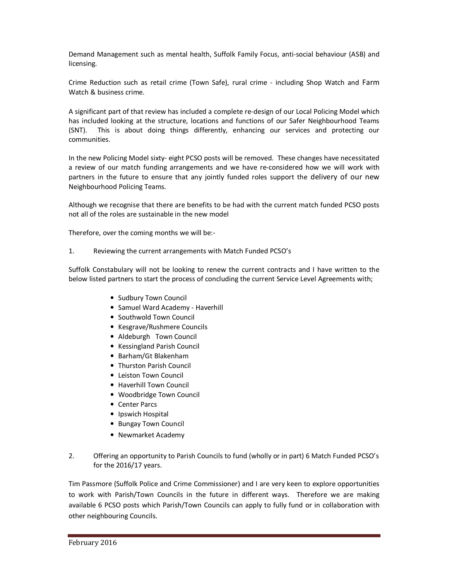Demand Management such as mental health, Suffolk Family Focus, anti-social behaviour (ASB) and licensing.

Crime Reduction such as retail crime (Town Safe), rural crime - including Shop Watch and Farm Watch & business crime.

A significant part of that review has included a complete re-design of our Local Policing Model which has included looking at the structure, locations and functions of our Safer Neighbourhood Teams (SNT). This is about doing things differently, enhancing our services and protecting our communities.

In the new Policing Model sixty- eight PCSO posts will be removed. These changes have necessitated a review of our match funding arrangements and we have re-considered how we will work with partners in the future to ensure that any jointly funded roles support the delivery of our new Neighbourhood Policing Teams.

Although we recognise that there are benefits to be had with the current match funded PCSO posts not all of the roles are sustainable in the new model

Therefore, over the coming months we will be:-

1. Reviewing the current arrangements with Match Funded PCSO's

Suffolk Constabulary will not be looking to renew the current contracts and I have written to the below listed partners to start the process of concluding the current Service Level Agreements with;

- Sudbury Town Council
- Samuel Ward Academy Haverhill
- Southwold Town Council
- Kesgrave/Rushmere Councils
- Aldeburgh Town Council
- Kessingland Parish Council
- Barham/Gt Blakenham
- Thurston Parish Council
- Leiston Town Council
- Haverhill Town Council
- Woodbridge Town Council
- Center Parcs
- Ipswich Hospital
- Bungay Town Council
- Newmarket Academy
- 2. Offering an opportunity to Parish Councils to fund (wholly or in part) 6 Match Funded PCSO's for the 2016/17 years.

Tim Passmore (Suffolk Police and Crime Commissioner) and I are very keen to explore opportunities to work with Parish/Town Councils in the future in different ways. Therefore we are making available 6 PCSO posts which Parish/Town Councils can apply to fully fund or in collaboration with other neighbouring Councils.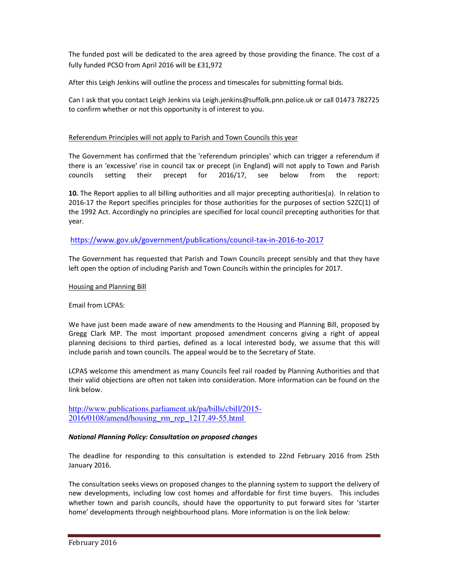The funded post will be dedicated to the area agreed by those providing the finance. The cost of a fully funded PCSO from April 2016 will be £31,972

After this Leigh Jenkins will outline the process and timescales for submitting formal bids.

Can I ask that you contact Leigh Jenkins via Leigh.jenkins@suffolk.pnn.police.uk or call 01473 782725 to confirm whether or not this opportunity is of interest to you.

# Referendum Principles will not apply to Parish and Town Councils this year

The Government has confirmed that the 'referendum principles' which can trigger a referendum if there is an 'excessive' rise in council tax or precept (in England) will not apply to Town and Parish councils setting their precept for 2016/17, see below from the report:

**10.** The Report applies to all billing authorities and all major precepting authorities(a). In relation to 2016-17 the Report specifies principles for those authorities for the purposes of section 52ZC(1) of the 1992 Act. Accordingly no principles are specified for local council precepting authorities for that year.

# https://www.gov.uk/government/publications/council-tax-in-2016-to-2017

The Government has requested that Parish and Town Councils precept sensibly and that they have left open the option of including Parish and Town Councils within the principles for 2017.

### Housing and Planning Bill

## Email from LCPAS:

We have just been made aware of new amendments to the Housing and Planning Bill, proposed by Gregg Clark MP. The most important proposed amendment concerns giving a right of appeal planning decisions to third parties, defined as a local interested body, we assume that this will include parish and town councils. The appeal would be to the Secretary of State.

LCPAS welcome this amendment as many Councils feel rail roaded by Planning Authorities and that their valid objections are often not taken into consideration. More information can be found on the link below.

http://www.publications.parliament.uk/pa/bills/cbill/2015- 2016/0108/amend/housing\_rm\_rep\_1217.49-55.html

## *National Planning Policy: Consultation on proposed changes*

The deadline for responding to this consultation is extended to 22nd February 2016 from 25th January 2016.

The consultation seeks views on proposed changes to the planning system to support the delivery of new developments, including low cost homes and affordable for first time buyers. This includes whether town and parish councils, should have the opportunity to put forward sites for 'starter home' developments through neighbourhood plans. More information is on the link below: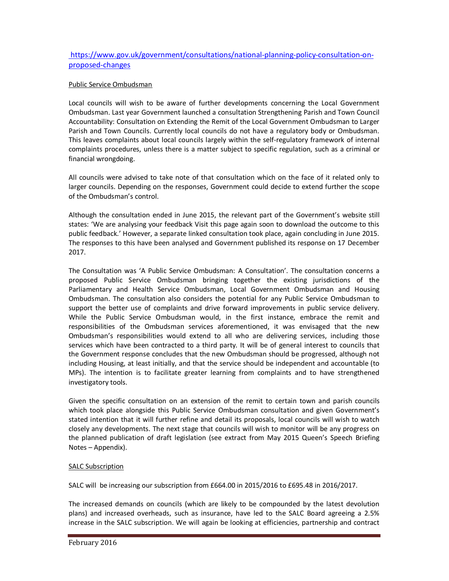# https://www.gov.uk/government/consultations/national-planning-policy-consultation-onproposed-changes

## Public Service Ombudsman

Local councils will wish to be aware of further developments concerning the Local Government Ombudsman. Last year Government launched a consultation Strengthening Parish and Town Council Accountability: Consultation on Extending the Remit of the Local Government Ombudsman to Larger Parish and Town Councils. Currently local councils do not have a regulatory body or Ombudsman. This leaves complaints about local councils largely within the self-regulatory framework of internal complaints procedures, unless there is a matter subject to specific regulation, such as a criminal or financial wrongdoing.

All councils were advised to take note of that consultation which on the face of it related only to larger councils. Depending on the responses, Government could decide to extend further the scope of the Ombudsman's control.

Although the consultation ended in June 2015, the relevant part of the Government's website still states: 'We are analysing your feedback Visit this page again soon to download the outcome to this public feedback.' However, a separate linked consultation took place, again concluding in June 2015. The responses to this have been analysed and Government published its response on 17 December 2017.

The Consultation was 'A Public Service Ombudsman: A Consultation'. The consultation concerns a proposed Public Service Ombudsman bringing together the existing jurisdictions of the Parliamentary and Health Service Ombudsman, Local Government Ombudsman and Housing Ombudsman. The consultation also considers the potential for any Public Service Ombudsman to support the better use of complaints and drive forward improvements in public service delivery. While the Public Service Ombudsman would, in the first instance, embrace the remit and responsibilities of the Ombudsman services aforementioned, it was envisaged that the new Ombudsman's responsibilities would extend to all who are delivering services, including those services which have been contracted to a third party. It will be of general interest to councils that the Government response concludes that the new Ombudsman should be progressed, although not including Housing, at least initially, and that the service should be independent and accountable (to MPs). The intention is to facilitate greater learning from complaints and to have strengthened investigatory tools.

Given the specific consultation on an extension of the remit to certain town and parish councils which took place alongside this Public Service Ombudsman consultation and given Government's stated intention that it will further refine and detail its proposals, local councils will wish to watch closely any developments. The next stage that councils will wish to monitor will be any progress on the planned publication of draft legislation (see extract from May 2015 Queen's Speech Briefing Notes – Appendix).

#### SALC Subscription

SALC will be increasing our subscription from £664.00 in 2015/2016 to £695.48 in 2016/2017.

The increased demands on councils (which are likely to be compounded by the latest devolution plans) and increased overheads, such as insurance, have led to the SALC Board agreeing a 2.5% increase in the SALC subscription. We will again be looking at efficiencies, partnership and contract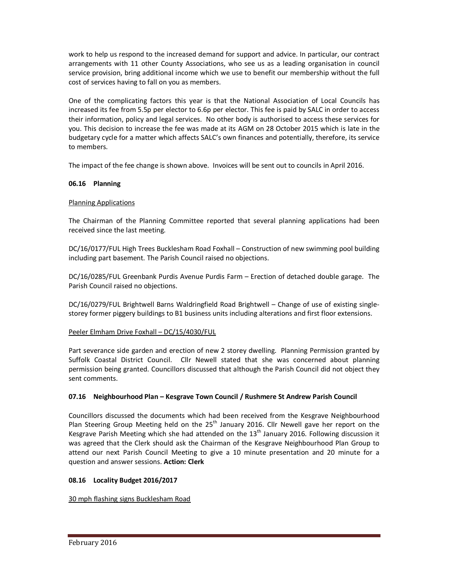work to help us respond to the increased demand for support and advice. In particular, our contract arrangements with 11 other County Associations, who see us as a leading organisation in council service provision, bring additional income which we use to benefit our membership without the full cost of services having to fall on you as members.

One of the complicating factors this year is that the National Association of Local Councils has increased its fee from 5.5p per elector to 6.6p per elector. This fee is paid by SALC in order to access their information, policy and legal services. No other body is authorised to access these services for you. This decision to increase the fee was made at its AGM on 28 October 2015 which is late in the budgetary cycle for a matter which affects SALC's own finances and potentially, therefore, its service to members.

The impact of the fee change is shown above. Invoices will be sent out to councils in April 2016.

# **06.16 Planning**

## Planning Applications

The Chairman of the Planning Committee reported that several planning applications had been received since the last meeting.

DC/16/0177/FUL High Trees Bucklesham Road Foxhall – Construction of new swimming pool building including part basement. The Parish Council raised no objections.

DC/16/0285/FUL Greenbank Purdis Avenue Purdis Farm – Erection of detached double garage. The Parish Council raised no objections.

DC/16/0279/FUL Brightwell Barns Waldringfield Road Brightwell – Change of use of existing singlestorey former piggery buildings to B1 business units including alterations and first floor extensions.

## Peeler Elmham Drive Foxhall – DC/15/4030/FUL

Part severance side garden and erection of new 2 storey dwelling. Planning Permission granted by Suffolk Coastal District Council. Cllr Newell stated that she was concerned about planning permission being granted. Councillors discussed that although the Parish Council did not object they sent comments.

## **07.16 Neighbourhood Plan – Kesgrave Town Council / Rushmere St Andrew Parish Council**

Councillors discussed the documents which had been received from the Kesgrave Neighbourhood Plan Steering Group Meeting held on the 25<sup>th</sup> January 2016. Cllr Newell gave her report on the Kesgrave Parish Meeting which she had attended on the  $13<sup>th</sup>$  January 2016. Following discussion it was agreed that the Clerk should ask the Chairman of the Kesgrave Neighbourhood Plan Group to attend our next Parish Council Meeting to give a 10 minute presentation and 20 minute for a question and answer sessions. **Action: Clerk** 

## **08.16 Locality Budget 2016/2017**

## 30 mph flashing signs Bucklesham Road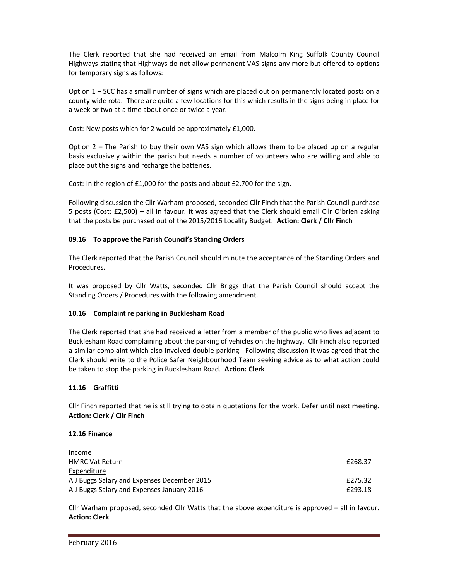The Clerk reported that she had received an email from Malcolm King Suffolk County Council Highways stating that Highways do not allow permanent VAS signs any more but offered to options for temporary signs as follows:

Option 1 – SCC has a small number of signs which are placed out on permanently located posts on a county wide rota. There are quite a few locations for this which results in the signs being in place for a week or two at a time about once or twice a year.

Cost: New posts which for 2 would be approximately £1,000.

Option 2 – The Parish to buy their own VAS sign which allows them to be placed up on a regular basis exclusively within the parish but needs a number of volunteers who are willing and able to place out the signs and recharge the batteries.

Cost: In the region of £1,000 for the posts and about £2,700 for the sign.

Following discussion the Cllr Warham proposed, seconded Cllr Finch that the Parish Council purchase 5 posts (Cost: £2,500) – all in favour. It was agreed that the Clerk should email Cllr O'brien asking that the posts be purchased out of the 2015/2016 Locality Budget. **Action: Clerk / Cllr Finch** 

# **09.16 To approve the Parish Council's Standing Orders**

The Clerk reported that the Parish Council should minute the acceptance of the Standing Orders and Procedures.

It was proposed by Cllr Watts, seconded Cllr Briggs that the Parish Council should accept the Standing Orders / Procedures with the following amendment.

## **10.16 Complaint re parking in Bucklesham Road**

The Clerk reported that she had received a letter from a member of the public who lives adjacent to Bucklesham Road complaining about the parking of vehicles on the highway. Cllr Finch also reported a similar complaint which also involved double parking. Following discussion it was agreed that the Clerk should write to the Police Safer Neighbourhood Team seeking advice as to what action could be taken to stop the parking in Bucklesham Road. **Action: Clerk** 

## **11.16 Graffitti**

Cllr Finch reported that he is still trying to obtain quotations for the work. Defer until next meeting. **Action: Clerk / Cllr Finch** 

## **12.16 Finance**

| Income                                      |         |
|---------------------------------------------|---------|
| <b>HMRC Vat Return</b>                      | £268.37 |
| Expenditure                                 |         |
| A J Buggs Salary and Expenses December 2015 | £275.32 |
| A J Buggs Salary and Expenses January 2016  | £293.18 |

Cllr Warham proposed, seconded Cllr Watts that the above expenditure is approved – all in favour. **Action: Clerk**